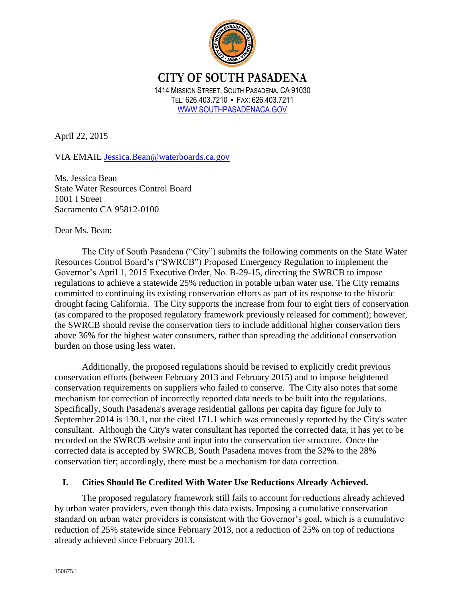

# **CITY OF SOUTH PASADENA** 1414 MISSION STREET, SOUTH PASADENA, CA 91030 TEL: 626.403.7210 ▪ FAX: 626.403.7211 [WWW.SOUTHPASADENACA.GOV](http://www.southpasadenaca.gov/)

April 22, 2015

VIA EMAIL [Jessica.Bean@waterboards.ca.gov](mailto:Jessica.Bean@waterboards.ca.gov)

Ms. Jessica Bean State Water Resources Control Board 1001 I Street Sacramento CA 95812-0100

Dear Ms. Bean:

The City of South Pasadena ("City") submits the following comments on the State Water Resources Control Board's ("SWRCB") Proposed Emergency Regulation to implement the Governor's April 1, 2015 Executive Order, No. B-29-15, directing the SWRCB to impose regulations to achieve a statewide 25% reduction in potable urban water use. The City remains committed to continuing its existing conservation efforts as part of its response to the historic drought facing California. The City supports the increase from four to eight tiers of conservation (as compared to the proposed regulatory framework previously released for comment); however, the SWRCB should revise the conservation tiers to include additional higher conservation tiers above 36% for the highest water consumers, rather than spreading the additional conservation burden on those using less water.

Additionally, the proposed regulations should be revised to explicitly credit previous conservation efforts (between February 2013 and February 2015) and to impose heightened conservation requirements on suppliers who failed to conserve. The City also notes that some mechanism for correction of incorrectly reported data needs to be built into the regulations. Specifically, South Pasadena's average residential gallons per capita day figure for July to September 2014 is 130.1, not the cited 171.1 which was erroneously reported by the City's water consultant. Although the City's water consultant has reported the corrected data, it has yet to be recorded on the SWRCB website and input into the conservation tier structure. Once the corrected data is accepted by SWRCB, South Pasadena moves from the 32% to the 28% conservation tier; accordingly, there must be a mechanism for data correction.

## **I. Cities Should Be Credited With Water Use Reductions Already Achieved.**

The proposed regulatory framework still fails to account for reductions already achieved by urban water providers, even though this data exists. Imposing a cumulative conservation standard on urban water providers is consistent with the Governor's goal, which is a cumulative reduction of 25% statewide since February 2013, not a reduction of 25% on top of reductions already achieved since February 2013.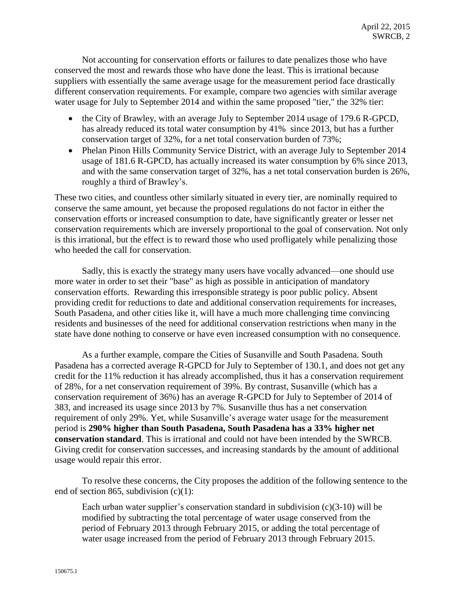Not accounting for conservation efforts or failures to date penalizes those who have conserved the most and rewards those who have done the least. This is irrational because suppliers with essentially the same average usage for the measurement period face drastically different conservation requirements. For example, compare two agencies with similar average water usage for July to September 2014 and within the same proposed "tier," the 32% tier:

- the City of Brawley, with an average July to September 2014 usage of 179.6 R-GPCD, has already reduced its total water consumption by 41% since 2013, but has a further conservation target of 32%, for a net total conservation burden of 73%;
- Phelan Pinon Hills Community Service District, with an average July to September 2014 usage of 181.6 R-GPCD, has actually increased its water consumption by 6% since 2013, and with the same conservation target of 32%, has a net total conservation burden is 26%, roughly a third of Brawley's.

These two cities, and countless other similarly situated in every tier, are nominally required to conserve the same amount, yet because the proposed regulations do not factor in either the conservation efforts or increased consumption to date, have significantly greater or lesser net conservation requirements which are inversely proportional to the goal of conservation. Not only is this irrational, but the effect is to reward those who used profligately while penalizing those who heeded the call for conservation.

Sadly, this is exactly the strategy many users have vocally advanced—one should use more water in order to set their "base" as high as possible in anticipation of mandatory conservation efforts. Rewarding this irresponsible strategy is poor public policy. Absent providing credit for reductions to date and additional conservation requirements for increases, South Pasadena, and other cities like it, will have a much more challenging time convincing residents and businesses of the need for additional conservation restrictions when many in the state have done nothing to conserve or have even increased consumption with no consequence.

As a further example, compare the Cities of Susanville and South Pasadena. South Pasadena has a corrected average R-GPCD for July to September of 130.1, and does not get any credit for the 11% reduction it has already accomplished, thus it has a conservation requirement of 28%, for a net conservation requirement of 39%. By contrast, Susanville (which has a conservation requirement of 36%) has an average R-GPCD for July to September of 2014 of 383, and increased its usage since 2013 by 7%. Susanville thus has a net conservation requirement of only 29%. Yet, while Susanville's average water usage for the measurement period is **290% higher than South Pasadena, South Pasadena has a 33% higher net conservation standard**. This is irrational and could not have been intended by the SWRCB. Giving credit for conservation successes, and increasing standards by the amount of additional usage would repair this error.

To resolve these concerns, the City proposes the addition of the following sentence to the end of section 865, subdivision (c)(1):

Each urban water supplier's conservation standard in subdivision (c)(3-10) will be modified by subtracting the total percentage of water usage conserved from the period of February 2013 through February 2015, or adding the total percentage of water usage increased from the period of February 2013 through February 2015.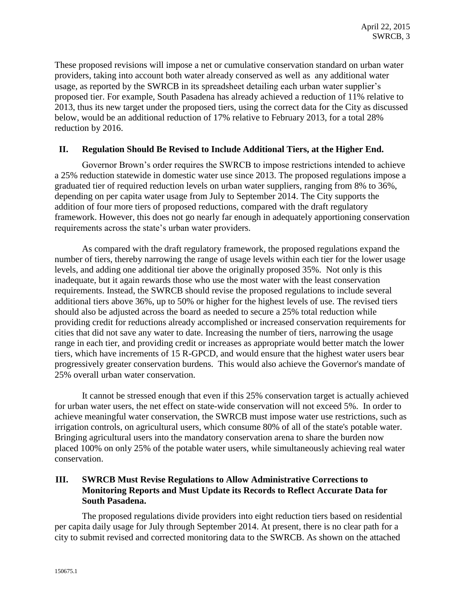These proposed revisions will impose a net or cumulative conservation standard on urban water providers, taking into account both water already conserved as well as any additional water usage, as reported by the SWRCB in its spreadsheet detailing each urban water supplier's proposed tier. For example, South Pasadena has already achieved a reduction of 11% relative to 2013, thus its new target under the proposed tiers, using the correct data for the City as discussed below, would be an additional reduction of 17% relative to February 2013, for a total 28% reduction by 2016.

#### **II. Regulation Should Be Revised to Include Additional Tiers, at the Higher End.**

Governor Brown's order requires the SWRCB to impose restrictions intended to achieve a 25% reduction statewide in domestic water use since 2013. The proposed regulations impose a graduated tier of required reduction levels on urban water suppliers, ranging from 8% to 36%, depending on per capita water usage from July to September 2014. The City supports the addition of four more tiers of proposed reductions, compared with the draft regulatory framework. However, this does not go nearly far enough in adequately apportioning conservation requirements across the state's urban water providers.

As compared with the draft regulatory framework, the proposed regulations expand the number of tiers, thereby narrowing the range of usage levels within each tier for the lower usage levels, and adding one additional tier above the originally proposed 35%. Not only is this inadequate, but it again rewards those who use the most water with the least conservation requirements. Instead, the SWRCB should revise the proposed regulations to include several additional tiers above 36%, up to 50% or higher for the highest levels of use. The revised tiers should also be adjusted across the board as needed to secure a 25% total reduction while providing credit for reductions already accomplished or increased conservation requirements for cities that did not save any water to date. Increasing the number of tiers, narrowing the usage range in each tier, and providing credit or increases as appropriate would better match the lower tiers, which have increments of 15 R-GPCD, and would ensure that the highest water users bear progressively greater conservation burdens. This would also achieve the Governor's mandate of 25% overall urban water conservation.

It cannot be stressed enough that even if this 25% conservation target is actually achieved for urban water users, the net effect on state-wide conservation will not exceed 5%. In order to achieve meaningful water conservation, the SWRCB must impose water use restrictions, such as irrigation controls, on agricultural users, which consume 80% of all of the state's potable water. Bringing agricultural users into the mandatory conservation arena to share the burden now placed 100% on only 25% of the potable water users, while simultaneously achieving real water conservation.

## **III. SWRCB Must Revise Regulations to Allow Administrative Corrections to Monitoring Reports and Must Update its Records to Reflect Accurate Data for South Pasadena.**

The proposed regulations divide providers into eight reduction tiers based on residential per capita daily usage for July through September 2014. At present, there is no clear path for a city to submit revised and corrected monitoring data to the SWRCB. As shown on the attached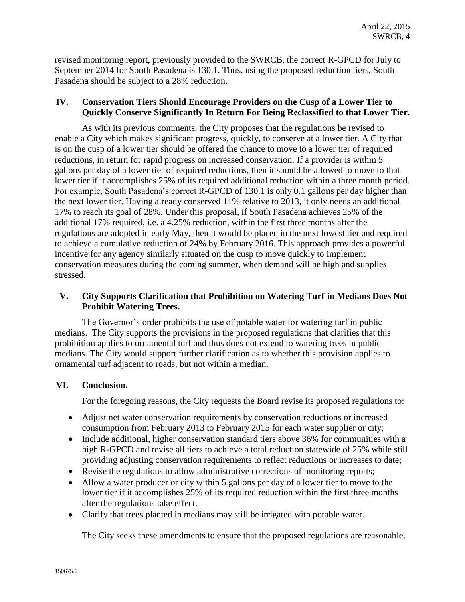revised monitoring report, previously provided to the SWRCB, the correct R-GPCD for July to September 2014 for South Pasadena is 130.1. Thus, using the proposed reduction tiers, South Pasadena should be subject to a 28% reduction.

## **IV. Conservation Tiers Should Encourage Providers on the Cusp of a Lower Tier to Quickly Conserve Significantly In Return For Being Reclassified to that Lower Tier.**

As with its previous comments, the City proposes that the regulations be revised to enable a City which makes significant progress, quickly, to conserve at a lower tier. A City that is on the cusp of a lower tier should be offered the chance to move to a lower tier of required reductions, in return for rapid progress on increased conservation. If a provider is within 5 gallons per day of a lower tier of required reductions, then it should be allowed to move to that lower tier if it accomplishes 25% of its required additional reduction within a three month period. For example, South Pasadena's correct R-GPCD of 130.1 is only 0.1 gallons per day higher than the next lower tier. Having already conserved 11% relative to 2013, it only needs an additional 17% to reach its goal of 28%. Under this proposal, if South Pasadena achieves 25% of the additional 17% required, i.e. a 4.25% reduction, within the first three months after the regulations are adopted in early May, then it would be placed in the next lowest tier and required to achieve a cumulative reduction of 24% by February 2016. This approach provides a powerful incentive for any agency similarly situated on the cusp to move quickly to implement conservation measures during the coming summer, when demand will be high and supplies stressed.

## **V. City Supports Clarification that Prohibition on Watering Turf in Medians Does Not Prohibit Watering Trees.**

The Governor's order prohibits the use of potable water for watering turf in public medians. The City supports the provisions in the proposed regulations that clarifies that this prohibition applies to ornamental turf and thus does not extend to watering trees in public medians. The City would support further clarification as to whether this provision applies to ornamental turf adjacent to roads, but not within a median.

## **VI. Conclusion.**

For the foregoing reasons, the City requests the Board revise its proposed regulations to:

- Adjust net water conservation requirements by conservation reductions or increased consumption from February 2013 to February 2015 for each water supplier or city;
- Include additional, higher conservation standard tiers above 36% for communities with a high R-GPCD and revise all tiers to achieve a total reduction statewide of 25% while still providing adjusting conservation requirements to reflect reductions or increases to date;
- Revise the regulations to allow administrative corrections of monitoring reports;
- Allow a water producer or city within 5 gallons per day of a lower tier to move to the lower tier if it accomplishes 25% of its required reduction within the first three months after the regulations take effect.
- Clarify that trees planted in medians may still be irrigated with potable water.

The City seeks these amendments to ensure that the proposed regulations are reasonable,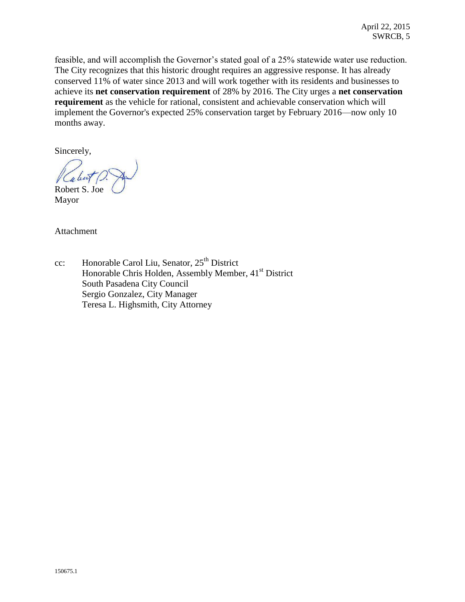feasible, and will accomplish the Governor's stated goal of a 25% statewide water use reduction. The City recognizes that this historic drought requires an aggressive response. It has already conserved 11% of water since 2013 and will work together with its residents and businesses to achieve its **net conservation requirement** of 28% by 2016. The City urges a **net conservation requirement** as the vehicle for rational, consistent and achievable conservation which will implement the Governor's expected 25% conservation target by February 2016—now only 10 months away.

Sincerely,

Robert S. Joe

Mayor

Attachment

cc: Honorable Carol Liu, Senator, 25<sup>th</sup> District Honorable Chris Holden, Assembly Member, 41<sup>st</sup> District South Pasadena City Council Sergio Gonzalez, City Manager Teresa L. Highsmith, City Attorney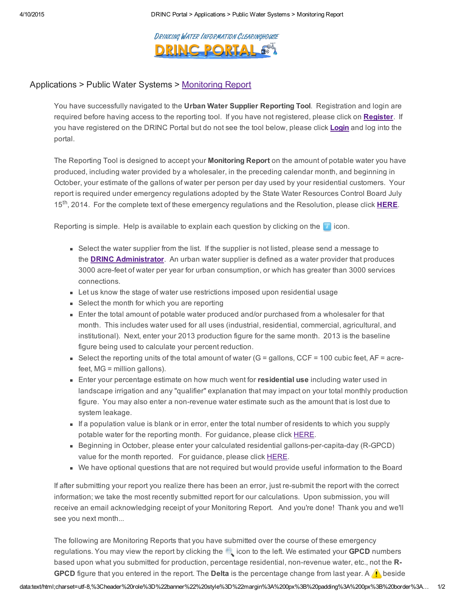4/10/2015 DRINC Portal > [Applications](http://drinc.ca.gov/dnn/Home.aspx) > Public Water Systems > Monitoring Report

#### DRINKING WATER INFORMATION CLEARINGHOUSE **DRINC PORT!**

#### Applications > Public Water Systems > [Monitoring](http://drinc.ca.gov/dnn/Applications/PublicWaterSystems/MonitoringReport.aspx) Report

You have successfully navigated to the Urban Water Supplier Reporting Tool. Registration and login are required before having access to the reporting tool. If you have not registered, please click on [Register](http://drinc.ca.gov/dnn/Home/Registration.aspx). If you have registered on the DRINC Portal but do not see the tool below, please click **[Login](http://drinc.ca.gov/dnn/Login.aspx)** and log into the portal.

The Reporting Tool is designed to accept your **Monitoring Report** on the amount of potable water you have produced, including water provided by a wholesaler, in the preceding calendar month, and beginning in October, your estimate of the gallons of water per person per day used by your residential customers. Your report is required under emergency regulations adopted by the State Water Resources Control Board July 15<sup>th</sup>, 2014. For the complete text of these emergency regulations and the Resolution, please click **HERE**.

Reporting is simple. Help is available to explain each question by clicking on the  $\Box$  icon.

- Select the water supplier from the list. If the supplier is not listed, please send a message to the **DRINC [Administrator](mailto:drinc@waterboards.ca.gov?subject=Urban%20Water%20Supplier%20Reporting%20Tool)**. An urban water supplier is defined as a water provider that produces 3000 acre-feet of water per year for urban consumption, or which has greater than 3000 services connections.
- **EXECT Let us know the stage of water use restrictions imposed upon residential usage**
- Select the month for which you are reporting
- Enter the total amount of potable water produced and/or purchased from a wholesaler for that month. This includes water used for all uses (industrial, residential, commercial, agricultural, and institutional). Next, enter your 2013 production figure for the same month. 2013 is the baseline figure being used to calculate your percent reduction.
- Select the reporting units of the total amount of water  $(G =$  gallons,  $CCF = 100$  cubic feet,  $AF =$  acrefeet, MG = million gallons).
- **Enter your percentage estimate on how much went for residential use including water used in** landscape irrigation and any "qualifier" explanation that may impact on your total monthly production figure. You may also enter a non-revenue water estimate such as the amount that is lost due to system leakage.
- If a population value is blank or in error, enter the total number of residents to which you supply potable water for the reporting month. For guidance, please click [HERE.](http://www.waterboards.ca.gov/waterrights/water_issues/programs/drought/docs/simplified_population_methodology.pdf)
- Beginning in October, please enter your calculated residential gallons-per-capita-day (R-GPCD) value for the month reported. For guidance, please click [HERE.](http://www.waterboards.ca.gov/waterrights/water_issues/programs/drought/docs/ws_tools/guidance_estimate_res_gpcd.pdf)
- We have optional questions that are not required but would provide useful information to the Board

If after submitting your report you realize there has been an error, just re-submit the report with the correct information; we take the most recently submitted report for our calculations. Upon submission, you will receive an email acknowledging receipt of your Monitoring Report. And you're done! Thank you and we'll see you next month...

The following are Monitoring Reports that you have submitted over the course of these emergency regulations. You may view the report by clicking the icon to the left. We estimated your GPCD numbers based upon what you submitted for production, percentage residential, non-revenue water, etc., not the R-**GPCD** figure that you entered in the report. The **Delta** is the percentage change from last year. A **f** beside